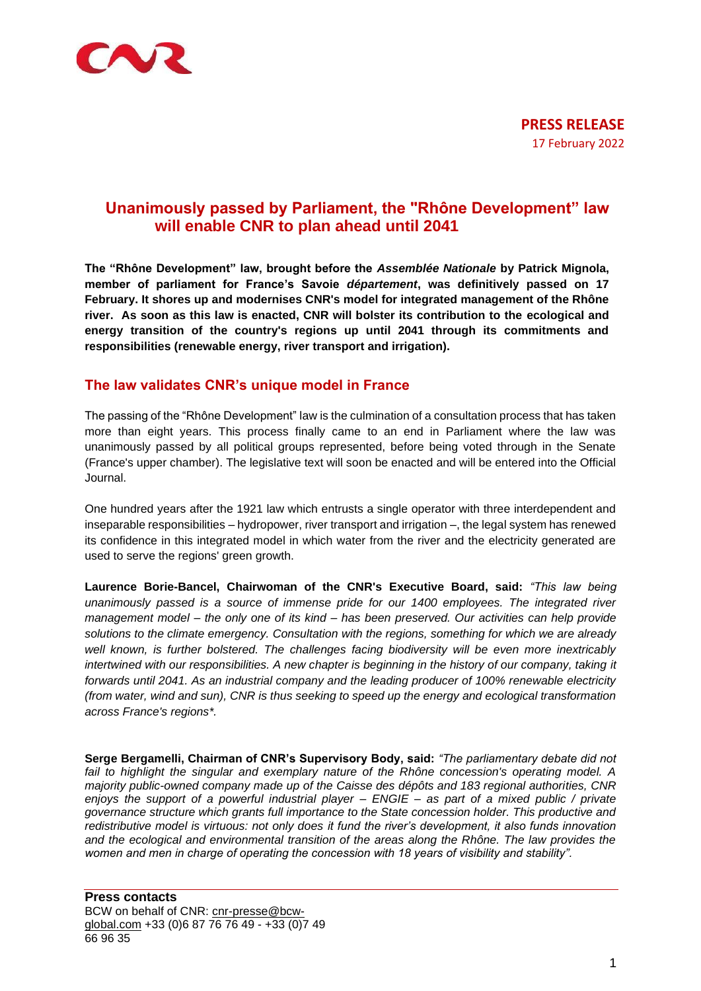

# **Unanimously passed by Parliament, the "Rhône Development" law will enable CNR to plan ahead until 2041**

**The "Rhône Development" law, brought before the** *Assemblée Nationale* **by Patrick Mignola, member of parliament for France's Savoie** *département***, was definitively passed on 17 February. It shores up and modernises CNR's model for integrated management of the Rhône river. As soon as this law is enacted, CNR will bolster its contribution to the ecological and energy transition of the country's regions up until 2041 through its commitments and responsibilities (renewable energy, river transport and irrigation).**

## **The law validates CNR's unique model in France**

The passing of the "Rhône Development" law is the culmination of a consultation process that has taken more than eight years. This process finally came to an end in Parliament where the law was unanimously passed by all political groups represented, before being voted through in the Senate (France's upper chamber). The legislative text will soon be enacted and will be entered into the Official Journal.

One hundred years after the 1921 law which entrusts a single operator with three interdependent and inseparable responsibilities – hydropower, river transport and irrigation –, the legal system has renewed its confidence in this integrated model in which water from the river and the electricity generated are used to serve the regions' green growth.

**Laurence Borie-Bancel, Chairwoman of the CNR's Executive Board, said:** *"This law being unanimously passed is a source of immense pride for our 1400 employees. The integrated river management model – the only one of its kind – has been preserved. Our activities can help provide solutions to the climate emergency. Consultation with the regions, something for which we are already well known, is further bolstered. The challenges facing biodiversity will be even more inextricably intertwined with our responsibilities. A new chapter is beginning in the history of our company, taking it forwards until 2041. As an industrial company and the leading producer of 100% renewable electricity (from water, wind and sun), CNR is thus seeking to speed up the energy and ecological transformation across France's regions\*.*

**Serge Bergamelli, Chairman of CNR's Supervisory Body, said:** *"The parliamentary debate did not*  fail to highlight the singular and exemplary nature of the Rhône concession's operating model. A *majority public-owned company made up of the Caisse des dépôts and 183 regional authorities, CNR enjoys the support of a powerful industrial player – ENGIE – as part of a mixed public / private governance structure which grants full importance to the State concession holder. This productive and redistributive model is virtuous: not only does it fund the river's development, it also funds innovation and the ecological and environmental transition of the areas along the Rhône. The law provides the women and men in charge of operating the concession with 18 years of visibility and stability".*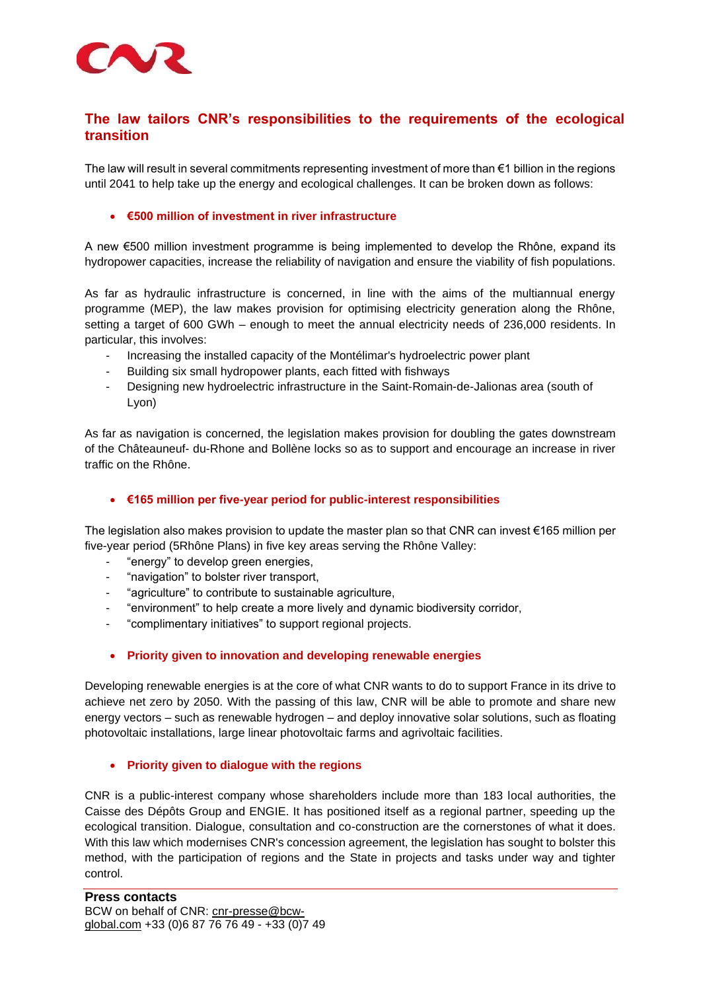

## **The law tailors CNR's responsibilities to the requirements of the ecological transition**

The law will result in several commitments representing investment of more than €1 billion in the regions until 2041 to help take up the energy and ecological challenges. It can be broken down as follows:

## • **€500 million of investment in river infrastructure**

A new €500 million investment programme is being implemented to develop the Rhône, expand its hydropower capacities, increase the reliability of navigation and ensure the viability of fish populations.

As far as hydraulic infrastructure is concerned, in line with the aims of the multiannual energy programme (MEP), the law makes provision for optimising electricity generation along the Rhône, setting a target of 600 GWh – enough to meet the annual electricity needs of 236,000 residents. In particular, this involves:

- Increasing the installed capacity of the Montélimar's hydroelectric power plant
- Building six small hydropower plants, each fitted with fishways
- Designing new hydroelectric infrastructure in the Saint-Romain-de-Jalionas area (south of Lyon)

As far as navigation is concerned, the legislation makes provision for doubling the gates downstream of the Châteauneuf- du-Rhone and Bollène locks so as to support and encourage an increase in river traffic on the Rhône.

## • **€165 million per five-year period for public-interest responsibilities**

The legislation also makes provision to update the master plan so that CNR can invest €165 million per five-year period (5Rhône Plans) in five key areas serving the Rhône Valley:

- "energy" to develop green energies,
- "navigation" to bolster river transport,
- "agriculture" to contribute to sustainable agriculture,
- "environment" to help create a more lively and dynamic biodiversity corridor,
- "complimentary initiatives" to support regional projects.

## • **Priority given to innovation and developing renewable energies**

Developing renewable energies is at the core of what CNR wants to do to support France in its drive to achieve net zero by 2050. With the passing of this law, CNR will be able to promote and share new energy vectors – such as renewable hydrogen – and deploy innovative solar solutions, such as floating photovoltaic installations, large linear photovoltaic farms and agrivoltaic facilities.

#### • **Priority given to dialogue with the regions**

CNR is a public-interest company whose shareholders include more than 183 local authorities, the Caisse des Dépôts Group and ENGIE. It has positioned itself as a regional partner, speeding up the ecological transition. Dialogue, consultation and co-construction are the cornerstones of what it does. With this law which modernises CNR's concession agreement, the legislation has sought to bolster this method, with the participation of regions and the State in projects and tasks under way and tighter control.